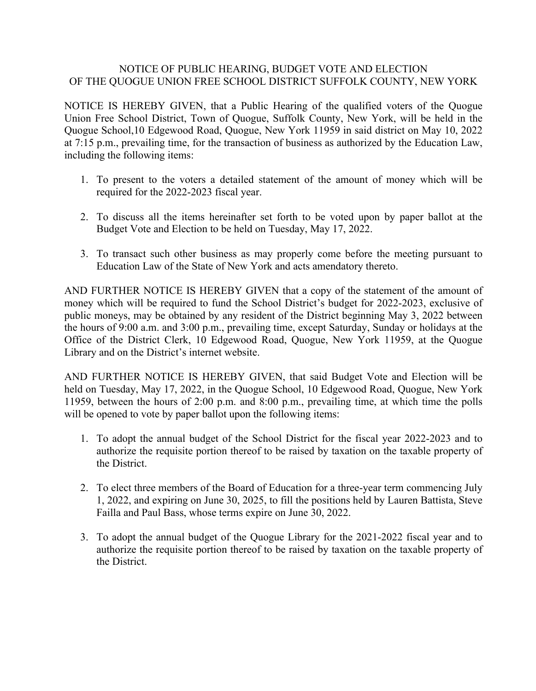## NOTICE OF PUBLIC HEARING, BUDGET VOTE AND ELECTION OF THE QUOGUE UNION FREE SCHOOL DISTRICT SUFFOLK COUNTY, NEW YORK

NOTICE IS HEREBY GIVEN, that a Public Hearing of the qualified voters of the Quogue Union Free School District, Town of Quogue, Suffolk County, New York, will be held in the Quogue School,10 Edgewood Road, Quogue, New York 11959 in said district on May 10, 2022 at 7:15 p.m., prevailing time, for the transaction of business as authorized by the Education Law, including the following items:

- 1. To present to the voters a detailed statement of the amount of money which will be required for the 2022-2023 fiscal year.
- 2. To discuss all the items hereinafter set forth to be voted upon by paper ballot at the Budget Vote and Election to be held on Tuesday, May 17, 2022.
- 3. To transact such other business as may properly come before the meeting pursuant to Education Law of the State of New York and acts amendatory thereto.

AND FURTHER NOTICE IS HEREBY GIVEN that a copy of the statement of the amount of money which will be required to fund the School District's budget for 2022-2023, exclusive of public moneys, may be obtained by any resident of the District beginning May 3, 2022 between the hours of 9:00 a.m. and 3:00 p.m., prevailing time, except Saturday, Sunday or holidays at the Office of the District Clerk, 10 Edgewood Road, Quogue, New York 11959, at the Quogue Library and on the District's internet website.

AND FURTHER NOTICE IS HEREBY GIVEN, that said Budget Vote and Election will be held on Tuesday, May 17, 2022, in the Quogue School, 10 Edgewood Road, Quogue, New York 11959, between the hours of 2:00 p.m. and 8:00 p.m., prevailing time, at which time the polls will be opened to vote by paper ballot upon the following items:

- 1. To adopt the annual budget of the School District for the fiscal year 2022-2023 and to authorize the requisite portion thereof to be raised by taxation on the taxable property of the District.
- 2. To elect three members of the Board of Education for a three-year term commencing July 1, 2022, and expiring on June 30, 2025, to fill the positions held by Lauren Battista, Steve Failla and Paul Bass, whose terms expire on June 30, 2022.
- 3. To adopt the annual budget of the Quogue Library for the 2021-2022 fiscal year and to authorize the requisite portion thereof to be raised by taxation on the taxable property of the District.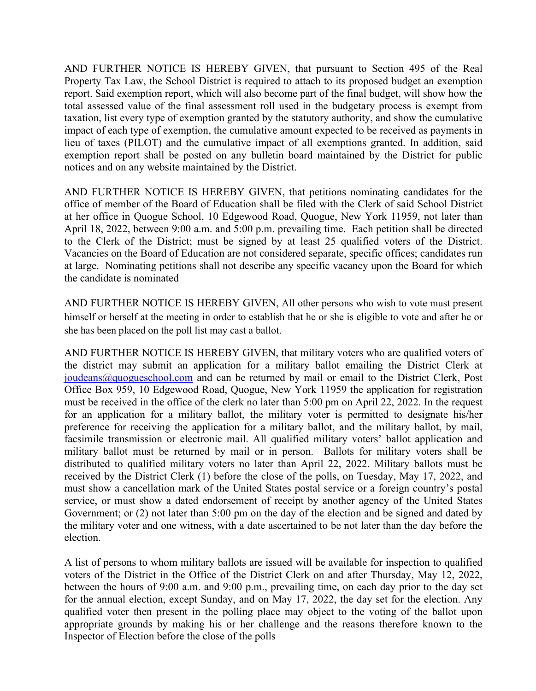AND FURTHER NOTICE IS HEREBY GIVEN, that pursuant to Section 495 of the Real Property Tax Law, the School District is required to attach to its proposed budget an exemption report. Said exemption report, which will also become part of the final budget, will show how the total assessed value of the final assessment roll used in the budgetary process is exempt from taxation, list every type of exemption granted by the statutory authority, and show the cumulative impact of each type of exemption, the cumulative amount expected to be received as payments in lieu of taxes (PILOT) and the cumulative impact of all exemptions granted. In addition, said exemption report shall be posted on any bulletin board maintained by the District for public notices and on any website maintained by the District.

AND FURTHER NOTICE IS HEREBY GIVEN, that petitions nominating candidates for the office of member of the Board of Education shall be filed with the Clerk of said School District at her office in Quogue School, 10 Edgewood Road, Quogue, New York 11959, not later than April 18, 2022, between 9:00 a.m. and 5:00 p.m. prevailing time. Each petition shall be directed to the Clerk of the District; must be signed by at least 25 qualified voters of the District. Vacancies on the Board of Education are not considered separate, specific offices; candidates run at large. Nominating petitions shall not describe any specific vacancy upon the Board for which the candidate is nominated

AND FURTHER NOTICE IS HEREBY GIVEN, All other persons who wish to vote must present himself or herself at the meeting in order to establish that he or she is eligible to vote and after he or she has been placed on the poll list may cast a ballot.

AND FURTHER NOTICE IS HEREBY GIVEN, that military voters who are qualified voters of the district may submit an application for a military ballot emailing the District Clerk at joudeans@quogueschool.com and can be returned by mail or email to the District Clerk, Post Office Box 959, 10 Edgewood Road, Quogue, New York 11959 the application for registration must be received in the office of the clerk no later than 5:00 pm on April 22, 2022. In the request for an application for a military ballot, the military voter is permitted to designate his/her preference for receiving the application for a military ballot, and the military ballot, by mail, facsimile transmission or electronic mail. All qualified military voters' ballot application and military ballot must be returned by mail or in person. Ballots for military voters shall be distributed to qualified military voters no later than April 22, 2022. Military ballots must be received by the District Clerk (1) before the close of the polls, on Tuesday, May 17, 2022, and must show a cancellation mark of the United States postal service or a foreign country's postal service, or must show a dated endorsement of receipt by another agency of the United States Government; or (2) not later than 5:00 pm on the day of the election and be signed and dated by the military voter and one witness, with a date ascertained to be not later than the day before the election.

A list of persons to whom military ballots are issued will be available for inspection to qualified voters of the District in the Office of the District Clerk on and after Thursday, May 12, 2022, between the hours of 9:00 a.m. and 9:00 p.m., prevailing time, on each day prior to the day set for the annual election, except Sunday, and on May 17, 2022, the day set for the election. Any qualified voter then present in the polling place may object to the voting of the ballot upon appropriate grounds by making his or her challenge and the reasons therefore known to the Inspector of Election before the close of the polls